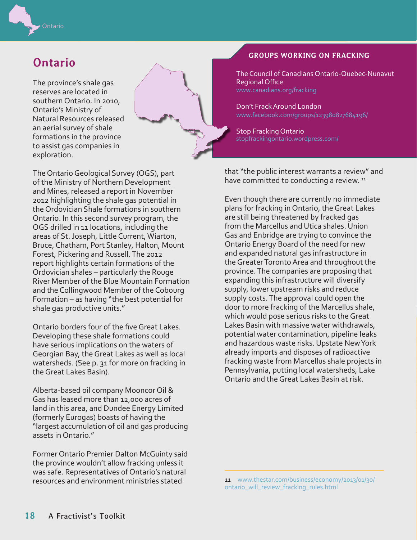

# **Ontario**

The province's shale gas reserves are located in southern Ontario. In 2010, Ontario's Ministry of Natural Resources released an aerial survey of shale formations in the province to assist gas companies in exploration.



Ontario borders four of the five Great Lakes. Developing these shale formations could have serious implications on the waters of Georgian Bay, the Great Lakes as well as local watersheds. (See p. 31 for more on fracking in the Great Lakes Basin).

Alberta-based oil company Mooncor Oil & Gas has leased more than 12,000 acres of land in this area, and Dundee Energy Limited (formerly Eurogas) boasts of having the "largest accumulation of oil and gas producing assets in Ontario."

Former Ontario Premier Dalton McGuinty said the province wouldn't allow fracking unless it was safe. Representatives of Ontario's natural resources and environment ministries stated

### **GROUPS WORKING ON FRACKING**

The Council of Canadians Ontario-Quebec-Nunavut Regional Office

Don't Frack Around London [www.facebook.com/groups/123980827684196/](https://www.facebook.com/groups/123980827684196/)

Stop Fracking Ontario [stopfrackingontario.wordpress.com/](http://stopfrackingontario.wordpress.com/)

that "the public interest warrants a review" and have committed to conducting a review.<sup>11</sup>

Even though there are currently no immediate plans for fracking in Ontario, the Great Lakes are still being threatened by fracked gas from the Marcellus and Utica shales. Union Gas and Enbridge are trying to convince the Ontario Energy Board of the need for new and expanded natural gas infrastructure in the Greater Toronto Area and throughout the province. The companies are proposing that expanding this infrastructure will diversify supply, lower upstream risks and reduce supply costs. The approval could open the door to more fracking of the Marcellus shale, which would pose serious risks to the Great Lakes Basin with massive water withdrawals, potential water contamination, pipeline leaks and hazardous waste risks. Upstate New York already imports and disposes of radioactive fracking waste from Marcellus shale projects in Pennsylvania, putting local watersheds, Lake Ontario and the Great Lakes Basin at risk.

<sup>11</sup> [www.thestar.com/business/economy/2013/01/30/](http://www.thestar.com/business/economy/2013/01/30/ontario_will_review_fracking_rules.html) [ontario\\_will\\_review\\_fracking\\_rules.html](http://www.thestar.com/business/economy/2013/01/30/ontario_will_review_fracking_rules.html)